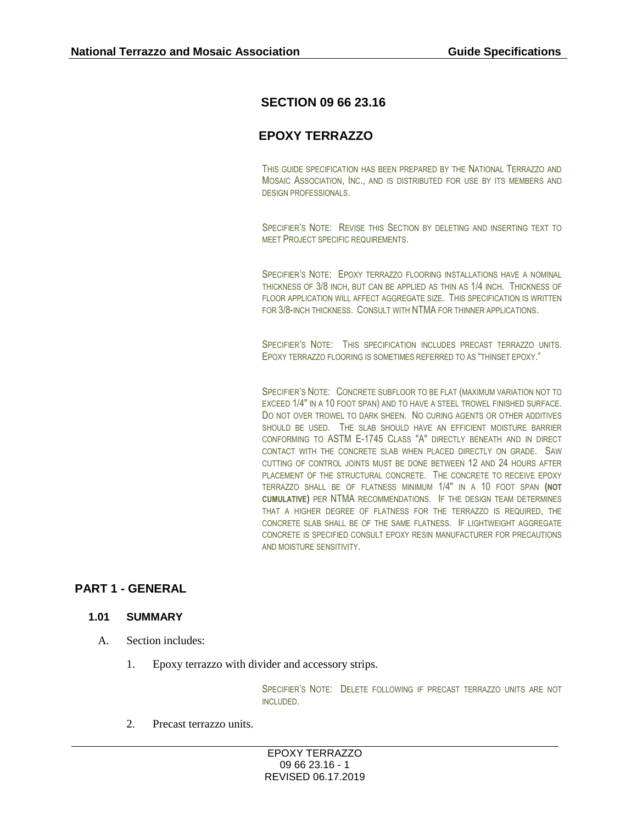# **SECTION 09 66 23.16**

# **EPOXY TERRAZZO**

THIS GUIDE SPECIFICATION HAS BEEN PREPARED BY THE NATIONAL TERRAZZO AND MOSAIC ASSOCIATION, INC., AND IS DISTRIBUTED FOR USE BY ITS MEMBERS AND DESIGN PROFESSIONALS.

SPECIFIER'S NOTE: REVISE THIS SECTION BY DELETING AND INSERTING TEXT TO MEET PROJECT SPECIFIC REQUIREMENTS.

SPECIFIER'S NOTE: EPOXY TERRAZZO FLOORING INSTALLATIONS HAVE A NOMINAL THICKNESS OF 3/8 INCH, BUT CAN BE APPLIED AS THIN AS 1/4 INCH. THICKNESS OF FLOOR APPLICATION WILL AFFECT AGGREGATE SIZE. THIS SPECIFICATION IS WRITTEN FOR 3/8-INCH THICKNESS. CONSULT WITH NTMA FOR THINNER APPLICATIONS.

SPECIFIER'S NOTE: THIS SPECIFICATION INCLUDES PRECAST TERRAZZO UNITS. EPOXY TERRAZZO FLOORING IS SOMETIMES REFERRED TO AS "THINSET EPOXY."

SPECIFIER'S NOTE: CONCRETE SUBFLOOR TO BE FLAT (MAXIMUM VARIATION NOT TO EXCEED 1/4" IN A 10 FOOT SPAN) AND TO HAVE A STEEL TROWEL FINISHED SURFACE. DO NOT OVER TROWEL TO DARK SHEEN. NO CURING AGENTS OR OTHER ADDITIVES SHOULD BE USED. THE SLAB SHOULD HAVE AN EFFICIENT MOISTURE BARRIER CONFORMING TO ASTM E-1745 CLASS "A" DIRECTLY BENEATH AND IN DIRECT CONTACT WITH THE CONCRETE SLAB WHEN PLACED DIRECTLY ON GRADE. SAW CUTTING OF CONTROL JOINTS MUST BE DONE BETWEEN 12 AND 24 HOURS AFTER PLACEMENT OF THE STRUCTURAL CONCRETE. THE CONCRETE TO RECEIVE EPOXY TERRAZZO SHALL BE OF FLATNESS MINIMUM 1/4" IN A 10 FOOT SPAN **(NOT CUMULATIVE)** PER NTMA RECOMMENDATIONS. IF THE DESIGN TEAM DETERMINES THAT A HIGHER DEGREE OF FLATNESS FOR THE TERRAZZO IS REQUIRED, THE CONCRETE SLAB SHALL BE OF THE SAME FLATNESS. IF LIGHTWEIGHT AGGREGATE CONCRETE IS SPECIFIED CONSULT EPOXY RESIN MANUFACTURER FOR PRECAUTIONS AND MOISTURE SENSITIVITY.

## **PART 1 - GENERAL**

### **1.01 SUMMARY**

- A. Section includes:
	- 1. Epoxy terrazzo with divider and accessory strips.

SPECIFIER'S NOTE: DELETE FOLLOWING IF PRECAST TERRAZZO UNITS ARE NOT INCLUDED.

2. Precast terrazzo units.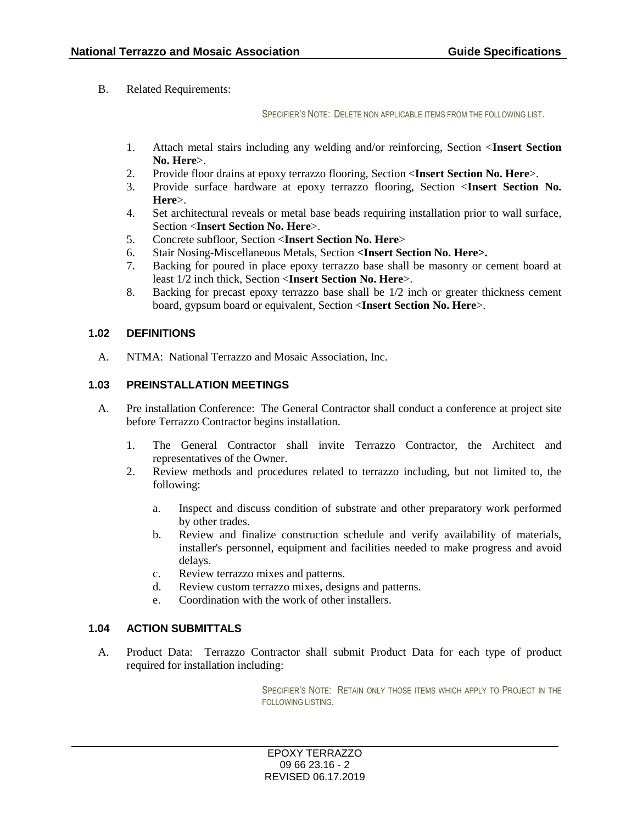B. Related Requirements:

SPECIFIER'S NOTE: DELETE NON APPLICABLE ITEMS FROM THE FOLLOWING LIST.

- 1. Attach metal stairs including any welding and/or reinforcing, Section <**Insert Section No. Here**>.
- 2. Provide floor drains at epoxy terrazzo flooring, Section <**Insert Section No. Here**>.
- 3. Provide surface hardware at epoxy terrazzo flooring, Section <**Insert Section No. Here**>.
- 4. Set architectural reveals or metal base beads requiring installation prior to wall surface, Section <**Insert Section No. Here**>.
- 5. Concrete subfloor, Section <**Insert Section No. Here**>
- 6. Stair Nosing-Miscellaneous Metals, Section **<Insert Section No. Here>.**
- 7. Backing for poured in place epoxy terrazzo base shall be masonry or cement board at least 1/2 inch thick, Section <**Insert Section No. Here**>.
- 8. Backing for precast epoxy terrazzo base shall be 1/2 inch or greater thickness cement board, gypsum board or equivalent, Section <**Insert Section No. Here**>.

## **1.02 DEFINITIONS**

A. NTMA: National Terrazzo and Mosaic Association, Inc.

## **1.03 PREINSTALLATION MEETINGS**

- A. Pre installation Conference: The General Contractor shall conduct a conference at project site before Terrazzo Contractor begins installation.
	- 1. The General Contractor shall invite Terrazzo Contractor, the Architect and representatives of the Owner.
	- 2. Review methods and procedures related to terrazzo including, but not limited to, the following:
		- a. Inspect and discuss condition of substrate and other preparatory work performed by other trades.
		- b. Review and finalize construction schedule and verify availability of materials, installer's personnel, equipment and facilities needed to make progress and avoid delays.
		- c. Review terrazzo mixes and patterns.
		- d. Review custom terrazzo mixes, designs and patterns.
		- e. Coordination with the work of other installers.

#### **1.04 ACTION SUBMITTALS**

A. Product Data: Terrazzo Contractor shall submit Product Data for each type of product required for installation including:

> SPECIFIER'S NOTE: RETAIN ONLY THOSE ITEMS WHICH APPLY TO PROJECT IN THE FOLLOWING LISTING.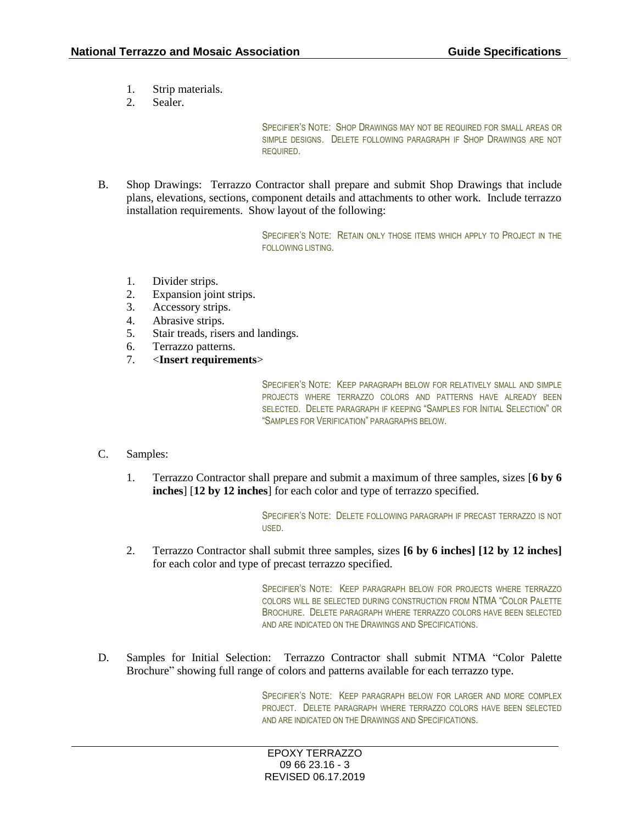- 1. Strip materials.
- 2. Sealer.

SPECIFIER'S NOTE: SHOP DRAWINGS MAY NOT BE REQUIRED FOR SMALL AREAS OR SIMPLE DESIGNS. DELETE FOLLOWING PARAGRAPH IF SHOP DRAWINGS ARE NOT REQUIRED.

B. Shop Drawings: Terrazzo Contractor shall prepare and submit Shop Drawings that include plans, elevations, sections, component details and attachments to other work. Include terrazzo installation requirements. Show layout of the following:

> SPECIFIER'S NOTE: RETAIN ONLY THOSE ITEMS WHICH APPLY TO PROJECT IN THE FOLLOWING LISTING.

- 1. Divider strips.
- 2. Expansion joint strips.
- 3. Accessory strips.
- 4. Abrasive strips.
- 5. Stair treads, risers and landings.
- 6. Terrazzo patterns.
- 7. <**Insert requirements**>

SPECIFIER'S NOTE: KEEP PARAGRAPH BELOW FOR RELATIVELY SMALL AND SIMPLE PROJECTS WHERE TERRAZZO COLORS AND PATTERNS HAVE ALREADY BEEN SELECTED. DELETE PARAGRAPH IF KEEPING "SAMPLES FOR INITIAL SELECTION" OR "SAMPLES FOR VERIFICATION" PARAGRAPHS BELOW.

- C. Samples:
	- 1. Terrazzo Contractor shall prepare and submit a maximum of three samples, sizes [**6 by 6 inches**] [**12 by 12 inches**] for each color and type of terrazzo specified.

SPECIFIER'S NOTE: DELETE FOLLOWING PARAGRAPH IF PRECAST TERRAZZO IS NOT USED.

2. Terrazzo Contractor shall submit three samples, sizes **[6 by 6 inches] [12 by 12 inches]** for each color and type of precast terrazzo specified.

> SPECIFIER'S NOTE: KEEP PARAGRAPH BELOW FOR PROJECTS WHERE TERRAZZO COLORS WILL BE SELECTED DURING CONSTRUCTION FROM NTMA "COLOR PALETTE BROCHURE. DELETE PARAGRAPH WHERE TERRAZZO COLORS HAVE BEEN SELECTED AND ARE INDICATED ON THE DRAWINGS AND SPECIFICATIONS.

D. Samples for Initial Selection: Terrazzo Contractor shall submit NTMA "Color Palette Brochure" showing full range of colors and patterns available for each terrazzo type.

> SPECIFIER'S NOTE: KEEP PARAGRAPH BELOW FOR LARGER AND MORE COMPLEX PROJECT. DELETE PARAGRAPH WHERE TERRAZZO COLORS HAVE BEEN SELECTED AND ARE INDICATED ON THE DRAWINGS AND SPECIFICATIONS.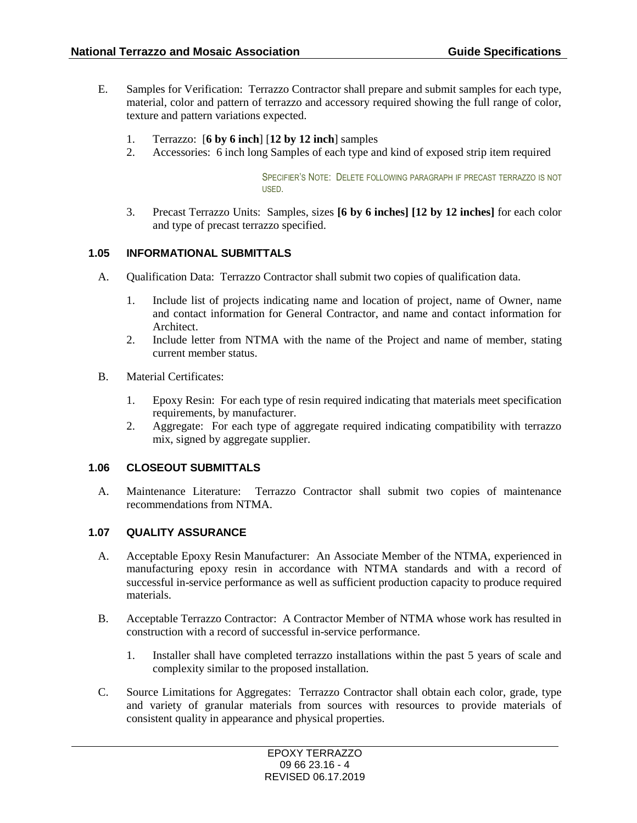- E. Samples for Verification: Terrazzo Contractor shall prepare and submit samples for each type, material, color and pattern of terrazzo and accessory required showing the full range of color, texture and pattern variations expected.
	- 1. Terrazzo: [**6 by 6 inch**] [**12 by 12 inch**] samples
	- 2. Accessories: 6 inch long Samples of each type and kind of exposed strip item required

SPECIFIER'S NOTE: DELETE FOLLOWING PARAGRAPH IF PRECAST TERRAZZO IS NOT USED.

3. Precast Terrazzo Units: Samples, sizes **[6 by 6 inches] [12 by 12 inches]** for each color and type of precast terrazzo specified.

#### **1.05 INFORMATIONAL SUBMITTALS**

- A. Qualification Data: Terrazzo Contractor shall submit two copies of qualification data.
	- 1. Include list of projects indicating name and location of project, name of Owner, name and contact information for General Contractor, and name and contact information for Architect.
	- 2. Include letter from NTMA with the name of the Project and name of member, stating current member status.
- B. Material Certificates:
	- 1. Epoxy Resin: For each type of resin required indicating that materials meet specification requirements, by manufacturer.
	- 2. Aggregate: For each type of aggregate required indicating compatibility with terrazzo mix, signed by aggregate supplier.

#### **1.06 CLOSEOUT SUBMITTALS**

A. Maintenance Literature: Terrazzo Contractor shall submit two copies of maintenance recommendations from NTMA.

#### **1.07 QUALITY ASSURANCE**

- A. Acceptable Epoxy Resin Manufacturer: An Associate Member of the NTMA, experienced in manufacturing epoxy resin in accordance with NTMA standards and with a record of successful in-service performance as well as sufficient production capacity to produce required materials.
- B. Acceptable Terrazzo Contractor: A Contractor Member of NTMA whose work has resulted in construction with a record of successful in-service performance.
	- 1. Installer shall have completed terrazzo installations within the past 5 years of scale and complexity similar to the proposed installation.
- C. Source Limitations for Aggregates: Terrazzo Contractor shall obtain each color, grade, type and variety of granular materials from sources with resources to provide materials of consistent quality in appearance and physical properties.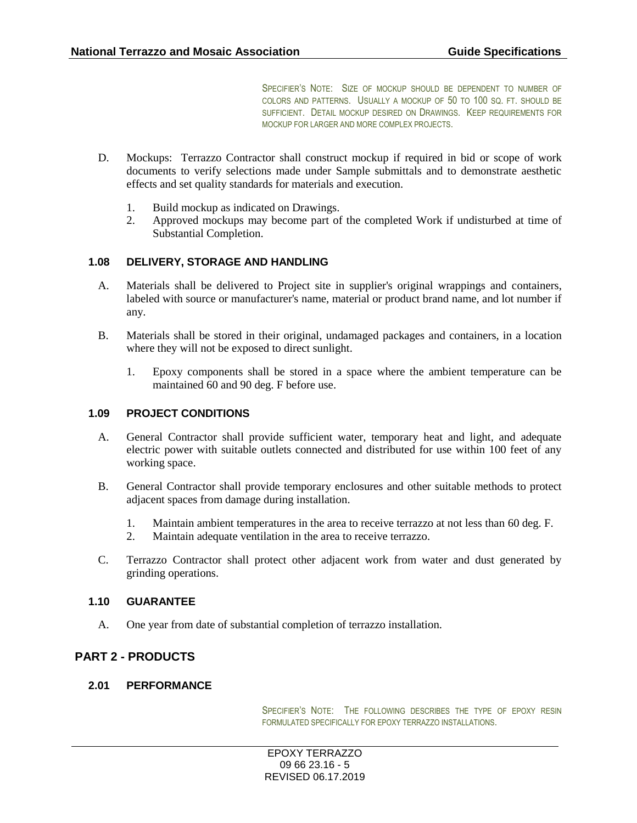SPECIFIER'S NOTE: SIZE OF MOCKUP SHOULD BE DEPENDENT TO NUMBER OF COLORS AND PATTERNS. USUALLY A MOCKUP OF 50 TO 100 SQ. FT. SHOULD BE SUFFICIENT. DETAIL MOCKUP DESIRED ON DRAWINGS. KEEP REQUIREMENTS FOR MOCKUP FOR LARGER AND MORE COMPLEX PROJECTS.

- D. Mockups: Terrazzo Contractor shall construct mockup if required in bid or scope of work documents to verify selections made under Sample submittals and to demonstrate aesthetic effects and set quality standards for materials and execution.
	- 1. Build mockup as indicated on Drawings.
	- 2. Approved mockups may become part of the completed Work if undisturbed at time of Substantial Completion.

#### **1.08 DELIVERY, STORAGE AND HANDLING**

- A. Materials shall be delivered to Project site in supplier's original wrappings and containers, labeled with source or manufacturer's name, material or product brand name, and lot number if any.
- B. Materials shall be stored in their original, undamaged packages and containers, in a location where they will not be exposed to direct sunlight.
	- 1. Epoxy components shall be stored in a space where the ambient temperature can be maintained 60 and 90 deg. F before use.

#### **1.09 PROJECT CONDITIONS**

- A. General Contractor shall provide sufficient water, temporary heat and light, and adequate electric power with suitable outlets connected and distributed for use within 100 feet of any working space.
- B. General Contractor shall provide temporary enclosures and other suitable methods to protect adjacent spaces from damage during installation.
	- 1. Maintain ambient temperatures in the area to receive terrazzo at not less than 60 deg. F.
	- 2. Maintain adequate ventilation in the area to receive terrazzo.
- C. Terrazzo Contractor shall protect other adjacent work from water and dust generated by grinding operations.

#### **1.10 GUARANTEE**

A. One year from date of substantial completion of terrazzo installation.

## **PART 2 - PRODUCTS**

### **2.01 PERFORMANCE**

SPECIFIER'S NOTE: THE FOLLOWING DESCRIBES THE TYPE OF EPOXY RESIN FORMULATED SPECIFICALLY FOR EPOXY TERRAZZO INSTALLATIONS.

EPOXY TERRAZZO 09 66 23.16 - 5 REVISED 06.17.2019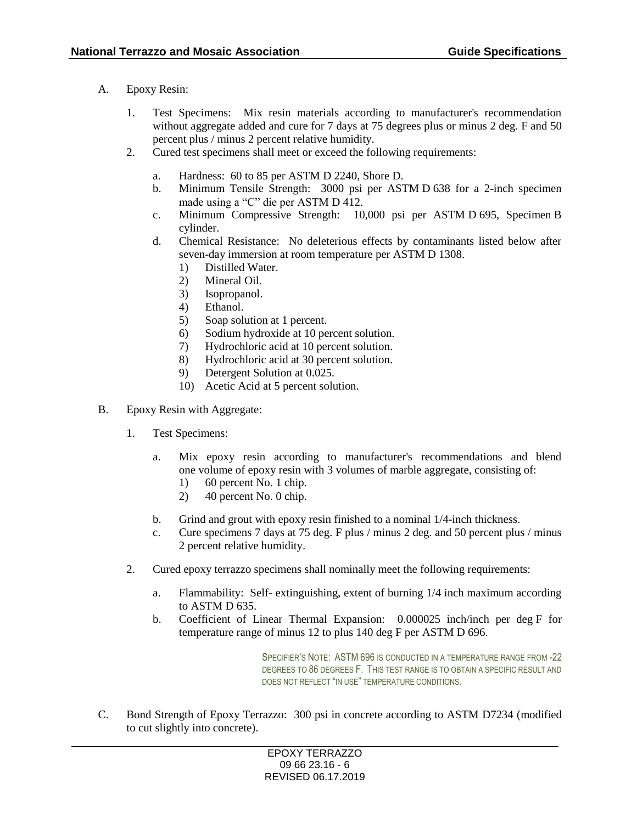- A. Epoxy Resin:
	- 1. Test Specimens: Mix resin materials according to manufacturer's recommendation without aggregate added and cure for 7 days at 75 degrees plus or minus 2 deg. F and 50 percent plus / minus 2 percent relative humidity.
	- 2. Cured test specimens shall meet or exceed the following requirements:
		- a. Hardness: 60 to 85 per ASTM D 2240, Shore D.
		- b. Minimum Tensile Strength: 3000 psi per ASTM D 638 for a 2-inch specimen made using a "C" die per ASTM D 412.
		- c. Minimum Compressive Strength: 10,000 psi per ASTM D 695, Specimen B cylinder.
		- d. Chemical Resistance: No deleterious effects by contaminants listed below after seven-day immersion at room temperature per ASTM D 1308.
			- 1) Distilled Water.
			- 2) Mineral Oil.
			- 3) Isopropanol.
			- 4) Ethanol.
			- 5) Soap solution at 1 percent.
			- 6) Sodium hydroxide at 10 percent solution.
			- 7) Hydrochloric acid at 10 percent solution.
			- 8) Hydrochloric acid at 30 percent solution.
			- 9) Detergent Solution at 0.025.
			- 10) Acetic Acid at 5 percent solution.
- B. Epoxy Resin with Aggregate:
	- 1. Test Specimens:
		- a. Mix epoxy resin according to manufacturer's recommendations and blend one volume of epoxy resin with 3 volumes of marble aggregate, consisting of:
			- 1) 60 percent No. 1 chip.
			- 2) 40 percent No. 0 chip.
		- b. Grind and grout with epoxy resin finished to a nominal 1/4-inch thickness.
		- c. Cure specimens 7 days at 75 deg. F plus / minus 2 deg. and 50 percent plus / minus 2 percent relative humidity.
	- 2. Cured epoxy terrazzo specimens shall nominally meet the following requirements:
		- a. Flammability: Self- extinguishing, extent of burning 1/4 inch maximum according to ASTM D 635.
		- b. Coefficient of Linear Thermal Expansion: 0.000025 inch/inch per deg F for temperature range of minus 12 to plus 140 deg F per ASTM D 696.

SPECIFIER'S NOTE: ASTM 696 IS CONDUCTED IN A TEMPERATURE RANGE FROM -22 DEGREES TO 86 DEGREES F. THIS TEST RANGE IS TO OBTAIN A SPECIFIC RESULT AND DOES NOT REFLECT "IN USE" TEMPERATURE CONDITIONS.

C. Bond Strength of Epoxy Terrazzo: 300 psi in concrete according to ASTM D7234 (modified to cut slightly into concrete).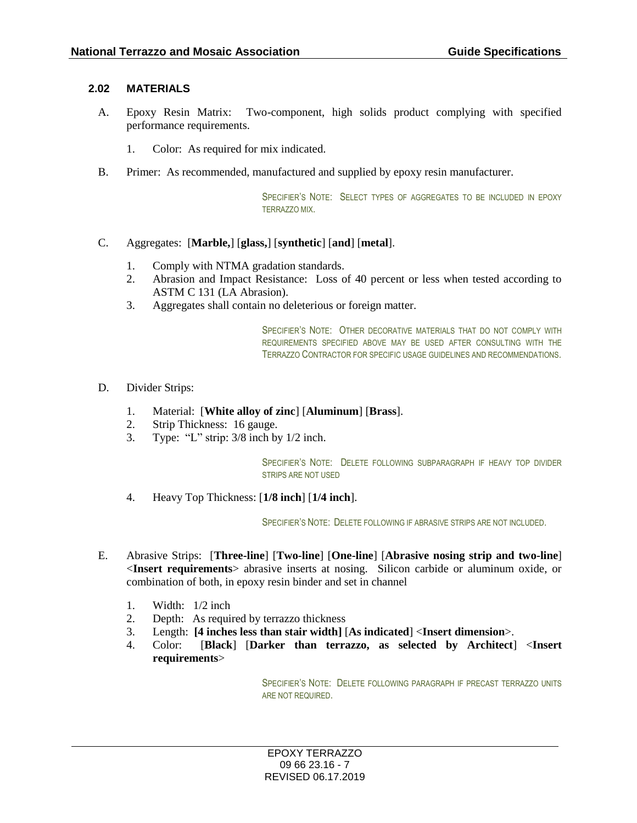#### **2.02 MATERIALS**

- A. Epoxy Resin Matrix: Two-component, high solids product complying with specified performance requirements.
	- 1. Color: As required for mix indicated.
- B. Primer: As recommended, manufactured and supplied by epoxy resin manufacturer.

SPECIFIER'S NOTE: SELECT TYPES OF AGGREGATES TO BE INCLUDED IN EPOXY TERRAZZO MIX.

#### C. Aggregates: [**Marble,**] [**glass,**] [**synthetic**] [**and**] [**metal**].

- 1. Comply with NTMA gradation standards.
- 2. Abrasion and Impact Resistance: Loss of 40 percent or less when tested according to ASTM C 131 (LA Abrasion).
- 3. Aggregates shall contain no deleterious or foreign matter.

SPECIFIER'S NOTE: OTHER DECORATIVE MATERIALS THAT DO NOT COMPLY WITH REQUIREMENTS SPECIFIED ABOVE MAY BE USED AFTER CONSULTING WITH THE TERRAZZO CONTRACTOR FOR SPECIFIC USAGE GUIDELINES AND RECOMMENDATIONS.

- D. Divider Strips:
	- 1. Material: [**White alloy of zinc**] [**Aluminum**] [**Brass**].
	- 2. Strip Thickness: 16 gauge.
	- 3. Type: "L" strip: 3/8 inch by 1/2 inch.

SPECIFIER'S NOTE: DELETE FOLLOWING SUBPARAGRAPH IF HEAVY TOP DIVIDER STRIPS ARE NOT USED

4. Heavy Top Thickness: [**1/8 inch**] [**1/4 inch**].

SPECIFIER'S NOTE: DELETE FOLLOWING IF ABRASIVE STRIPS ARE NOT INCLUDED.

- E. Abrasive Strips: [**Three-line**] [**Two-line**] [**One-line**] [**Abrasive nosing strip and two-line**] <**Insert requirements**> abrasive inserts at nosing. Silicon carbide or aluminum oxide, or combination of both, in epoxy resin binder and set in channel
	- 1. Width: 1/2 inch
	- 2. Depth: As required by terrazzo thickness
	- 3. Length: **[4 inches less than stair width]** [**As indicated**] <**Insert dimension**>.
	- 4. Color: [**Black**] [**Darker than terrazzo, as selected by Architect**] <**Insert requirements**>

SPECIFIER'S NOTE: DELETE FOLLOWING PARAGRAPH IF PRECAST TERRAZZO UNITS ARE NOT REQUIRED.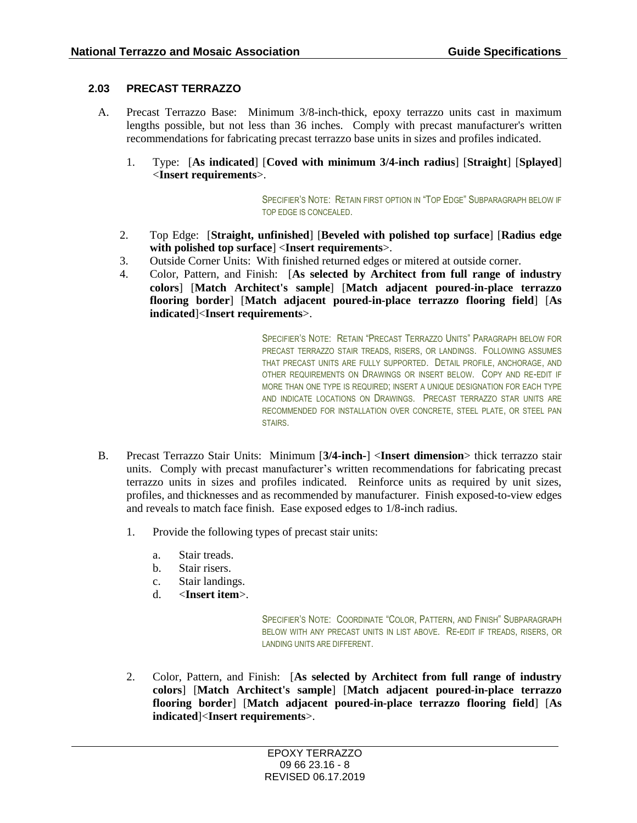## **2.03 PRECAST TERRAZZO**

- A. Precast Terrazzo Base: Minimum 3/8-inch-thick, epoxy terrazzo units cast in maximum lengths possible, but not less than 36 inches. Comply with precast manufacturer's written recommendations for fabricating precast terrazzo base units in sizes and profiles indicated.
	- 1. Type: [**As indicated**] [**Coved with minimum 3/4-inch radius**] [**Straight**] [**Splayed**] <**Insert requirements**>.

SPECIFIER'S NOTE: RETAIN FIRST OPTION IN "TOP EDGE" SUBPARAGRAPH BELOW IF TOP EDGE IS CONCEALED.

- 2. Top Edge: [**Straight, unfinished**] [**Beveled with polished top surface**] [**Radius edge with polished top surface**] <**Insert requirements**>.
- 3. Outside Corner Units: With finished returned edges or mitered at outside corner.
- 4. Color, Pattern, and Finish: [**As selected by Architect from full range of industry colors**] [**Match Architect's sample**] [**Match adjacent poured-in-place terrazzo flooring border**] [**Match adjacent poured-in-place terrazzo flooring field**] [**As indicated**]<**Insert requirements**>.

SPECIFIER'S NOTE: RETAIN "PRECAST TERRAZZO UNITS" PARAGRAPH BELOW FOR PRECAST TERRAZZO STAIR TREADS, RISERS, OR LANDINGS. FOLLOWING ASSUMES THAT PRECAST UNITS ARE FULLY SUPPORTED. DETAIL PROFILE, ANCHORAGE, AND OTHER REQUIREMENTS ON DRAWINGS OR INSERT BELOW. COPY AND RE-EDIT IF MORE THAN ONE TYPE IS REQUIRED; INSERT A UNIQUE DESIGNATION FOR EACH TYPE AND INDICATE LOCATIONS ON DRAWINGS. PRECAST TERRAZZO STAR UNITS ARE RECOMMENDED FOR INSTALLATION OVER CONCRETE, STEEL PLATE, OR STEEL PAN **STAIRS** 

- B. Precast Terrazzo Stair Units: Minimum [**3/4-inch-**] <**Insert dimension**> thick terrazzo stair units. Comply with precast manufacturer's written recommendations for fabricating precast terrazzo units in sizes and profiles indicated. Reinforce units as required by unit sizes, profiles, and thicknesses and as recommended by manufacturer. Finish exposed-to-view edges and reveals to match face finish. Ease exposed edges to 1/8-inch radius.
	- 1. Provide the following types of precast stair units:
		- a. Stair treads.
		- b. Stair risers.
		- c. Stair landings.
		- d. <**Insert item**>.

SPECIFIER'S NOTE: COORDINATE "COLOR, PATTERN, AND FINISH" SUBPARAGRAPH BELOW WITH ANY PRECAST UNITS IN LIST ABOVE. RE-EDIT IF TREADS, RISERS, OR LANDING UNITS ARE DIFFERENT.

2. Color, Pattern, and Finish: [**As selected by Architect from full range of industry colors**] [**Match Architect's sample**] [**Match adjacent poured-in-place terrazzo flooring border**] [**Match adjacent poured-in-place terrazzo flooring field**] [**As indicated**]<**Insert requirements**>.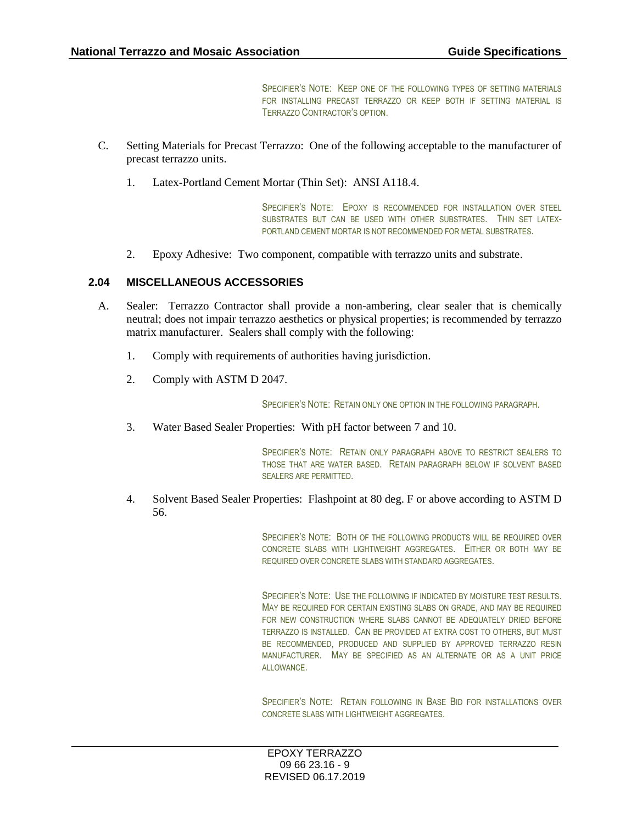SPECIFIER'S NOTE: KEEP ONE OF THE FOLLOWING TYPES OF SETTING MATERIALS. FOR INSTALLING PRECAST TERRAZZO OR KEEP BOTH IF SETTING MATERIAL IS TERRAZZO CONTRACTOR'S OPTION.

- C. Setting Materials for Precast Terrazzo: One of the following acceptable to the manufacturer of precast terrazzo units.
	- 1. Latex-Portland Cement Mortar (Thin Set): ANSI A118.4.

SPECIFIER'S NOTE: EPOXY IS RECOMMENDED FOR INSTALLATION OVER STEEL SUBSTRATES BUT CAN BE USED WITH OTHER SUBSTRATES. THIN SET LATEX-PORTLAND CEMENT MORTAR IS NOT RECOMMENDED FOR METAL SUBSTRATES.

2. Epoxy Adhesive: Two component, compatible with terrazzo units and substrate.

### **2.04 MISCELLANEOUS ACCESSORIES**

- A. Sealer: Terrazzo Contractor shall provide a non-ambering, clear sealer that is chemically neutral; does not impair terrazzo aesthetics or physical properties; is recommended by terrazzo matrix manufacturer. Sealers shall comply with the following:
	- 1. Comply with requirements of authorities having jurisdiction.
	- 2. Comply with ASTM D 2047.

SPECIFIER'S NOTE: RETAIN ONLY ONE OPTION IN THE FOLLOWING PARAGRAPH.

3. Water Based Sealer Properties: With pH factor between 7 and 10.

SPECIFIER'S NOTE: RETAIN ONLY PARAGRAPH ABOVE TO RESTRICT SEALERS TO THOSE THAT ARE WATER BASED. RETAIN PARAGRAPH BELOW IF SOLVENT BASED SEALERS ARE PERMITTED.

4. Solvent Based Sealer Properties: Flashpoint at 80 deg. F or above according to ASTM D 56.

> SPECIFIER'S NOTE: BOTH OF THE FOLLOWING PRODUCTS WILL BE REQUIRED OVER CONCRETE SLABS WITH LIGHTWEIGHT AGGREGATES. EITHER OR BOTH MAY BE REQUIRED OVER CONCRETE SLABS WITH STANDARD AGGREGATES.

> SPECIFIER'S NOTE: USE THE FOLLOWING IF INDICATED BY MOISTURE TEST RESULTS. MAY BE REQUIRED FOR CERTAIN EXISTING SLABS ON GRADE, AND MAY BE REQUIRED FOR NEW CONSTRUCTION WHERE SLABS CANNOT BE ADEQUATELY DRIED BEFORE TERRAZZO IS INSTALLED. CAN BE PROVIDED AT EXTRA COST TO OTHERS, BUT MUST BE RECOMMENDED, PRODUCED AND SUPPLIED BY APPROVED TERRAZZO RESIN MANUFACTURER. MAY BE SPECIFIED AS AN ALTERNATE OR AS A UNIT PRICE ALLOWANCE.

> SPECIFIER'S NOTE: RETAIN FOLLOWING IN BASE BID FOR INSTALLATIONS OVER CONCRETE SLABS WITH LIGHTWEIGHT AGGREGATES.

EPOXY TERRAZZO 09 66 23.16 - 9 REVISED 06.17.2019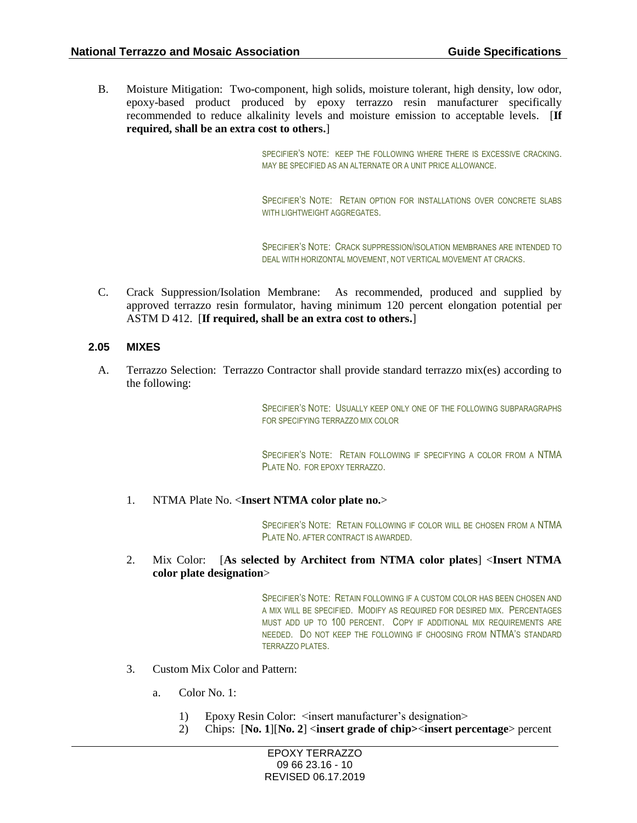B. Moisture Mitigation: Two-component, high solids, moisture tolerant, high density, low odor, epoxy-based product produced by epoxy terrazzo resin manufacturer specifically recommended to reduce alkalinity levels and moisture emission to acceptable levels. [**If required, shall be an extra cost to others.**]

> SPECIFIER'S NOTE: KEEP THE FOLLOWING WHERE THERE IS EXCESSIVE CRACKING. MAY BE SPECIFIED AS AN ALTERNATE OR A UNIT PRICE ALLOWANCE.

> SPECIFIER'S NOTE: RETAIN OPTION FOR INSTALLATIONS OVER CONCRETE SLABS WITH LIGHTWEIGHT AGGREGATES.

> SPECIFIER'S NOTE: CRACK SUPPRESSION/ISOLATION MEMBRANES ARE INTENDED TO DEAL WITH HORIZONTAL MOVEMENT, NOT VERTICAL MOVEMENT AT CRACKS.

C. Crack Suppression/Isolation Membrane: As recommended, produced and supplied by approved terrazzo resin formulator, having minimum 120 percent elongation potential per ASTM D 412. [**If required, shall be an extra cost to others.**]

#### **2.05 MIXES**

A. Terrazzo Selection: Terrazzo Contractor shall provide standard terrazzo mix(es) according to the following:

> SPECIFIER'S NOTE: USUALLY KEEP ONLY ONE OF THE FOLLOWING SUBPARAGRAPHS FOR SPECIFYING TERRAZZO MIX COLOR

> SPECIFIER'S NOTE: RETAIN FOLLOWING IF SPECIFYING A COLOR FROM A NTMA PLATE NO. FOR EPOXY TERRAZZO.

1. NTMA Plate No. <**Insert NTMA color plate no.**>

SPECIFIER'S NOTE: RETAIN FOLLOWING IF COLOR WILL BE CHOSEN FROM A NTMA PLATE NO. AFTER CONTRACT IS AWARDED.

2. Mix Color: [**As selected by Architect from NTMA color plates**] <**Insert NTMA color plate designation**>

> SPECIFIER'S NOTE: RETAIN FOLLOWING IF A CUSTOM COLOR HAS BEEN CHOSEN AND A MIX WILL BE SPECIFIED. MODIFY AS REQUIRED FOR DESIRED MIX. PERCENTAGES MUST ADD UP TO 100 PERCENT. COPY IF ADDITIONAL MIX REQUIREMENTS ARE NEEDED. DO NOT KEEP THE FOLLOWING IF CHOOSING FROM NTMA'S STANDARD TERRAZZO PI ATES

- 3. Custom Mix Color and Pattern:
	- a. Color No. 1:
		- 1) Epoxy Resin Color: <insert manufacturer's designation>
		- 2) Chips: [**No. 1**][**No. 2**] <**insert grade of chip>**<**insert percentage**> percent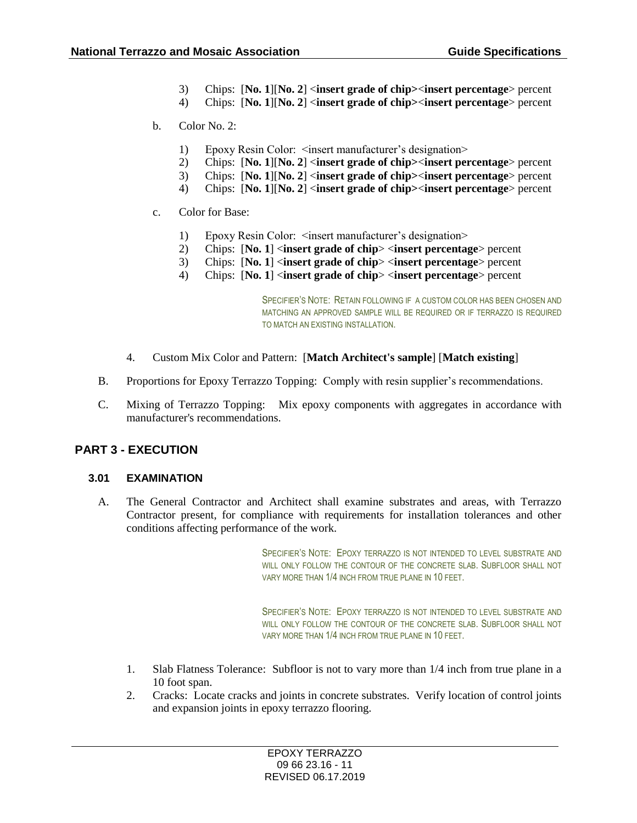- 3) Chips: [**No. 1**][**No. 2**] <**insert grade of chip>**<**insert percentage**> percent
- 4) Chips: [**No. 1**][**No. 2**] <**insert grade of chip>**<**insert percentage**> percent
- b. Color No. 2:
	- 1) Epoxy Resin Color: <insert manufacturer's designation>
	- 2) Chips: [**No. 1**][**No. 2**] <**insert grade of chip>**<**insert percentage**> percent
	- 3) Chips: [**No. 1**][**No. 2**] <**insert grade of chip>**<**insert percentage**> percent
	- 4) Chips: [**No. 1**][**No. 2**] <**insert grade of chip>**<**insert percentage**> percent
- c. Color for Base:
	- 1) Epoxy Resin Color: <insert manufacturer's designation>
	- 2) Chips: [**No. 1**] <**insert grade of chip**> <**insert percentage**> percent
	- 3) Chips: [**No. 1**] <**insert grade of chip**> <**insert percentage**> percent
	- 4) Chips: [**No. 1**] <**insert grade of chip**> <**insert percentage**> percent

SPECIFIER'S NOTE: RETAIN FOLLOWING IF A CUSTOM COLOR HAS BEEN CHOSEN AND MATCHING AN APPROVED SAMPLE WILL BE REQUIRED OR IF TERRAZZO IS REQUIRED TO MATCH AN EXISTING INSTALLATION.

- 4. Custom Mix Color and Pattern: [**Match Architect's sample**] [**Match existing**]
- B. Proportions for Epoxy Terrazzo Topping: Comply with resin supplier's recommendations.
- C. Mixing of Terrazzo Topping: Mix epoxy components with aggregates in accordance with manufacturer's recommendations.

## **PART 3 - EXECUTION**

#### **3.01 EXAMINATION**

A. The General Contractor and Architect shall examine substrates and areas, with Terrazzo Contractor present, for compliance with requirements for installation tolerances and other conditions affecting performance of the work.

> SPECIFIER'S NOTE: EPOXY TERRAZZO IS NOT INTENDED TO LEVEL SUBSTRATE AND WILL ONLY FOLLOW THE CONTOUR OF THE CONCRETE SLAB. SUBFLOOR SHALL NOT VARY MORE THAN 1/4 INCH FROM TRUE PLANE IN 10 FEET.

> SPECIFIER'S NOTE: EPOXY TERRAZZO IS NOT INTENDED TO LEVEL SUBSTRATE AND WILL ONLY FOLLOW THE CONTOUR OF THE CONCRETE SLAB. SUBFLOOR SHALL NOT VARY MORE THAN 1/4 INCH FROM TRUE PLANE IN 10 FEET.

- 1. Slab Flatness Tolerance: Subfloor is not to vary more than 1/4 inch from true plane in a 10 foot span.
- 2. Cracks: Locate cracks and joints in concrete substrates. Verify location of control joints and expansion joints in epoxy terrazzo flooring.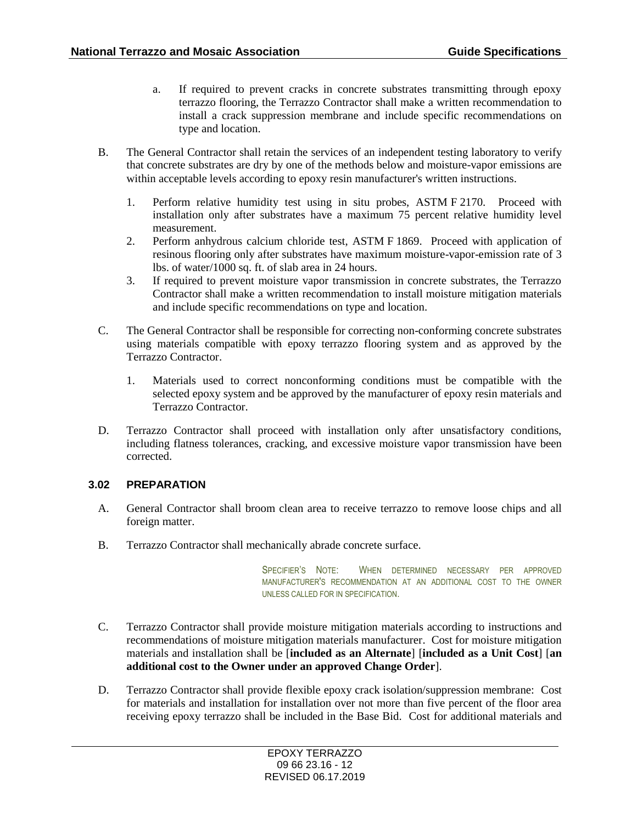- a. If required to prevent cracks in concrete substrates transmitting through epoxy terrazzo flooring, the Terrazzo Contractor shall make a written recommendation to install a crack suppression membrane and include specific recommendations on type and location.
- B. The General Contractor shall retain the services of an independent testing laboratory to verify that concrete substrates are dry by one of the methods below and moisture-vapor emissions are within acceptable levels according to epoxy resin manufacturer's written instructions.
	- 1. Perform relative humidity test using in situ probes, ASTM F 2170. Proceed with installation only after substrates have a maximum 75 percent relative humidity level measurement.
	- 2. Perform anhydrous calcium chloride test, ASTM F 1869. Proceed with application of resinous flooring only after substrates have maximum moisture-vapor-emission rate of 3 lbs. of water/1000 sq. ft. of slab area in 24 hours.
	- 3. If required to prevent moisture vapor transmission in concrete substrates, the Terrazzo Contractor shall make a written recommendation to install moisture mitigation materials and include specific recommendations on type and location.
- C. The General Contractor shall be responsible for correcting non-conforming concrete substrates using materials compatible with epoxy terrazzo flooring system and as approved by the Terrazzo Contractor.
	- 1. Materials used to correct nonconforming conditions must be compatible with the selected epoxy system and be approved by the manufacturer of epoxy resin materials and Terrazzo Contractor.
- D. Terrazzo Contractor shall proceed with installation only after unsatisfactory conditions, including flatness tolerances, cracking, and excessive moisture vapor transmission have been corrected.

#### **3.02 PREPARATION**

- A. General Contractor shall broom clean area to receive terrazzo to remove loose chips and all foreign matter.
- B. Terrazzo Contractor shall mechanically abrade concrete surface.

SPECIFIER'S NOTE: WHEN DETERMINED NECESSARY PER APPROVED MANUFACTURER'S RECOMMENDATION AT AN ADDITIONAL COST TO THE OWNER UNLESS CALLED FOR IN SPECIFICATION.

- C. Terrazzo Contractor shall provide moisture mitigation materials according to instructions and recommendations of moisture mitigation materials manufacturer. Cost for moisture mitigation materials and installation shall be [**included as an Alternate**] [**included as a Unit Cost**] [**an additional cost to the Owner under an approved Change Order**].
- D. Terrazzo Contractor shall provide flexible epoxy crack isolation/suppression membrane: Cost for materials and installation for installation over not more than five percent of the floor area receiving epoxy terrazzo shall be included in the Base Bid. Cost for additional materials and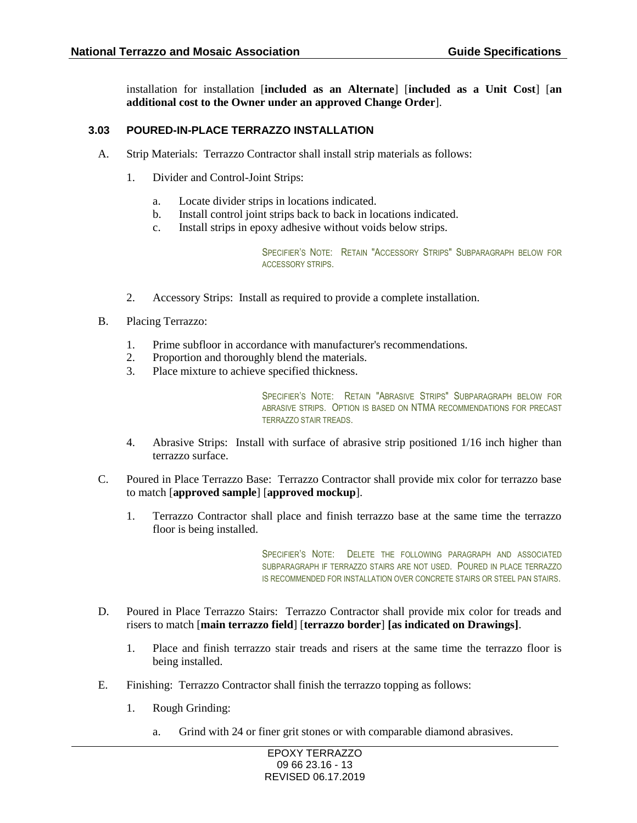installation for installation [**included as an Alternate**] [**included as a Unit Cost**] [**an additional cost to the Owner under an approved Change Order**].

#### **3.03 POURED-IN-PLACE TERRAZZO INSTALLATION**

- A. Strip Materials: Terrazzo Contractor shall install strip materials as follows:
	- 1. Divider and Control-Joint Strips:
		- a. Locate divider strips in locations indicated.
		- b. Install control joint strips back to back in locations indicated.
		- c. Install strips in epoxy adhesive without voids below strips.

SPECIFIER'S NOTE: RETAIN "ACCESSORY STRIPS" SUBPARAGRAPH BELOW FOR ACCESSORY STRIPS.

- 2. Accessory Strips: Install as required to provide a complete installation.
- B. Placing Terrazzo:
	- 1. Prime subfloor in accordance with manufacturer's recommendations.
	- 2. Proportion and thoroughly blend the materials.
	- 3. Place mixture to achieve specified thickness.

SPECIFIER'S NOTE: RETAIN "ABRASIVE STRIPS" SUBPARAGRAPH BELOW FOR ABRASIVE STRIPS. OPTION IS BASED ON NTMA RECOMMENDATIONS FOR PRECAST TERRAZZO STAIR TREADS.

- 4. Abrasive Strips: Install with surface of abrasive strip positioned 1/16 inch higher than terrazzo surface.
- C. Poured in Place Terrazzo Base: Terrazzo Contractor shall provide mix color for terrazzo base to match [**approved sample**] [**approved mockup**].
	- 1. Terrazzo Contractor shall place and finish terrazzo base at the same time the terrazzo floor is being installed.

SPECIFIER'S NOTE: DELETE THE FOLLOWING PARAGRAPH AND ASSOCIATED SUBPARAGRAPH IF TERRAZZO STAIRS ARE NOT USED. POURED IN PLACE TERRAZZO IS RECOMMENDED FOR INSTALLATION OVER CONCRETE STAIRS OR STEEL PAN STAIRS.

- D. Poured in Place Terrazzo Stairs: Terrazzo Contractor shall provide mix color for treads and risers to match [**main terrazzo field**] [**terrazzo border**] **[as indicated on Drawings]**.
	- 1. Place and finish terrazzo stair treads and risers at the same time the terrazzo floor is being installed.
- E. Finishing: Terrazzo Contractor shall finish the terrazzo topping as follows:
	- 1. Rough Grinding:
		- a. Grind with 24 or finer grit stones or with comparable diamond abrasives.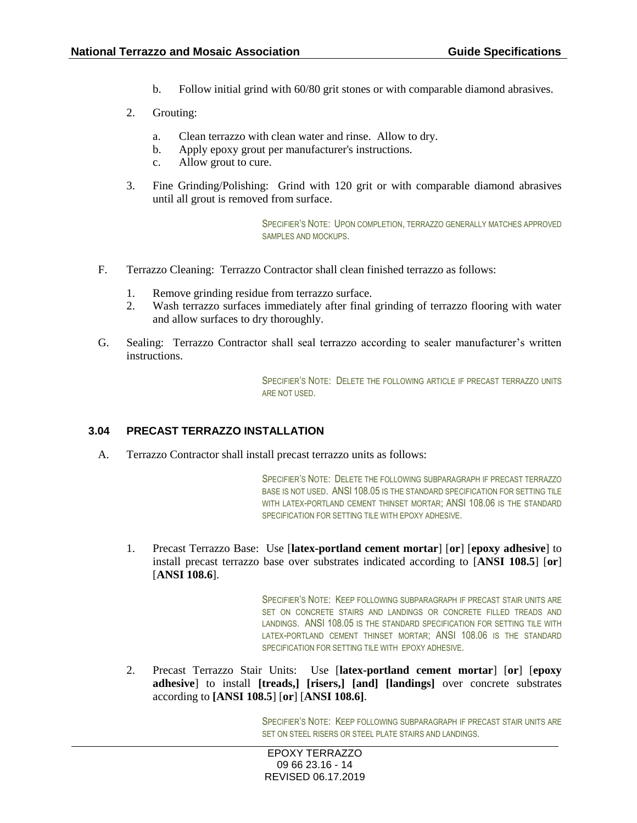- b. Follow initial grind with 60/80 grit stones or with comparable diamond abrasives.
- 2. Grouting:
	- a. Clean terrazzo with clean water and rinse. Allow to dry.
	- b. Apply epoxy grout per manufacturer's instructions.
	- c. Allow grout to cure.
- 3. Fine Grinding/Polishing: Grind with 120 grit or with comparable diamond abrasives until all grout is removed from surface.

SPECIFIER'S NOTE: UPON COMPLETION, TERRAZZO GENERALLY MATCHES APPROVED SAMPLES AND MOCKUPS.

- F. Terrazzo Cleaning: Terrazzo Contractor shall clean finished terrazzo as follows:
	- 1. Remove grinding residue from terrazzo surface.
	- 2. Wash terrazzo surfaces immediately after final grinding of terrazzo flooring with water and allow surfaces to dry thoroughly.
- G. Sealing: Terrazzo Contractor shall seal terrazzo according to sealer manufacturer's written instructions.

SPECIFIER'S NOTE: DELETE THE FOLLOWING ARTICLE IF PRECAST TERRAZZO UNITS ARE NOT USED.

## **3.04 PRECAST TERRAZZO INSTALLATION**

A. Terrazzo Contractor shall install precast terrazzo units as follows:

SPECIFIER'S NOTE: DELETE THE FOLLOWING SUBPARAGRAPH IF PRECAST TERRAZZO BASE IS NOT USED. ANSI 108.05 IS THE STANDARD SPECIFICATION FOR SETTING TILE WITH LATEX-PORTLAND CEMENT THINSET MORTAR; ANSI 108.06 IS THE STANDARD SPECIFICATION FOR SETTING TILE WITH EPOXY ADHESIVE.

1. Precast Terrazzo Base: Use [**latex-portland cement mortar**] [**or**] [**epoxy adhesive**] to install precast terrazzo base over substrates indicated according to [**ANSI 108.5**] [**or**] [**ANSI 108.6**].

> SPECIFIER'S NOTE: KEEP FOLLOWING SUBPARAGRAPH IF PRECAST STAIR UNITS ARE SET ON CONCRETE STAIRS AND LANDINGS OR CONCRETE FILLED TREADS AND LANDINGS. ANSI 108.05 IS THE STANDARD SPECIFICATION FOR SETTING TILE WITH LATEX-PORTLAND CEMENT THINSET MORTAR; ANSI 108.06 IS THE STANDARD SPECIFICATION FOR SETTING TILE WITH EPOXY ADHESIVE.

2. Precast Terrazzo Stair Units: Use [**latex-portland cement mortar**] [**or**] [**epoxy adhesive**] to install **[treads,] [risers,] [and] [landings]** over concrete substrates according to **[ANSI 108.5**] [**or**] [**ANSI 108.6]**.

> SPECIFIER'S NOTE: KEEP FOLLOWING SUBPARAGRAPH IF PRECAST STAIR UNITS ARE SET ON STEEL RISERS OR STEEL PLATE STAIRS AND LANDINGS.

EPOXY TERRAZZO 09 66 23.16 - 14 REVISED 06.17.2019